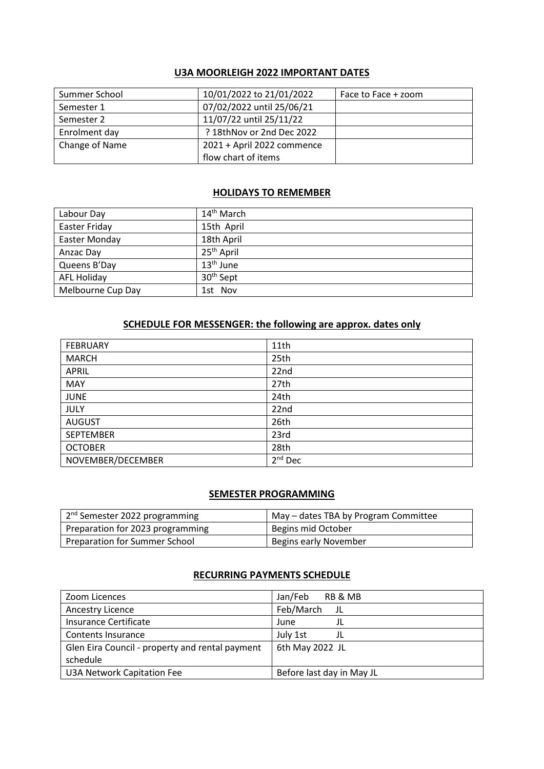#### **U3A MOORLEIGH 2022 IMPORTANT DATES**

| Summer School  | 10/01/2022 to 21/01/2022   | Face to Face + zoom |
|----------------|----------------------------|---------------------|
| Semester 1     | 07/02/2022 until 25/06/21  |                     |
| Semester 2     | 11/07/22 until 25/11/22    |                     |
| Enrolment day  | ? 18thNov or 2nd Dec 2022  |                     |
| Change of Name | 2021 + April 2022 commence |                     |
|                | flow chart of items        |                     |

#### **HOLIDAYS TO REMEMBER**

| Labour Day           | 14 <sup>th</sup> March |
|----------------------|------------------------|
| <b>Easter Friday</b> | 15th April             |
| Easter Monday        | 18th April             |
| Anzac Day            | 25 <sup>th</sup> April |
| Queens B'Day         | $13th$ June            |
| <b>AFL Holiday</b>   | 30 <sup>th</sup> Sept  |
| Melbourne Cup Day    | 1st Nov                |

# **SCHEDULE FOR MESSENGER: the following are approx. dates only**

| <b>FEBRUARY</b>   | 11th      |
|-------------------|-----------|
| <b>MARCH</b>      | 25th      |
| <b>APRIL</b>      | 22nd      |
| <b>MAY</b>        | 27th      |
| <b>JUNE</b>       | 24th      |
| <b>JULY</b>       | 22nd      |
| <b>AUGUST</b>     | 26th      |
| <b>SEPTEMBER</b>  | 23rd      |
| <b>OCTOBER</b>    | 28th      |
| NOVEMBER/DECEMBER | $2nd$ Dec |

# **SEMESTER PROGRAMMING**

| 2 <sup>nd</sup> Semester 2022 programming | May – dates TBA by Program Committee |
|-------------------------------------------|--------------------------------------|
| Preparation for 2023 programming          | Begins mid October                   |
| Preparation for Summer School             | Begins early November                |

## **RECURRING PAYMENTS SCHEDULE**

| Zoom Licences                                   | Jan/Feb<br>RB & MB        |
|-------------------------------------------------|---------------------------|
| Ancestry Licence                                | Feb/March<br>JL           |
| Insurance Certificate                           | June                      |
| <b>Contents Insurance</b>                       | July 1st<br>JL            |
| Glen Eira Council - property and rental payment | 6th May 2022 JL           |
| schedule                                        |                           |
| <b>U3A Network Capitation Fee</b>               | Before last day in May JL |